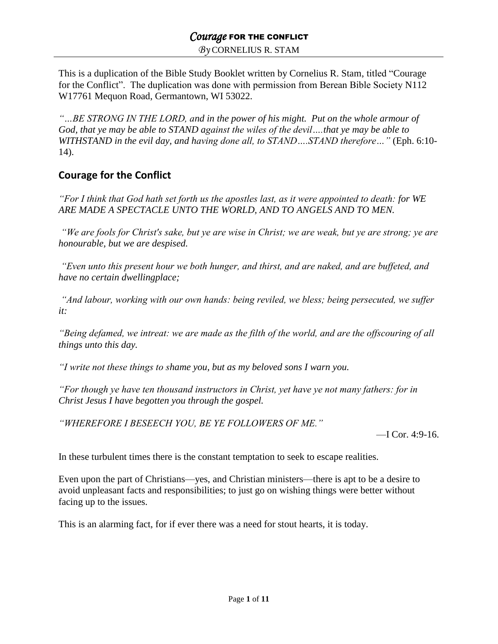This is a duplication of the Bible Study Booklet written by Cornelius R. Stam, titled "Courage for the Conflict". The duplication was done with permission from Berean Bible Society N112 W17761 Mequon Road, Germantown, WI 53022.

*"…BE STRONG IN THE LORD, and in the power of his might. Put on the whole armour of God, that ye may be able to STAND against the wiles of the devil….that ye may be able to WITHSTAND in the evil day, and having done all, to STAND….STAND therefore…"* (Eph. 6:10- 14).

# **Courage for the Conflict**

*"For I think that God hath set forth us the apostles last, as it were appointed to death: for WE ARE MADE A SPECTACLE UNTO THE WORLD, AND TO ANGELS AND TO MEN.* 

*"We are fools for Christ's sake, but ye are wise in Christ; we are weak, but ye are strong; ye are honourable, but we are despised.*

*"Even unto this present hour we both hunger, and thirst, and are naked, and are buffeted, and have no certain dwellingplace;*

*"And labour, working with our own hands: being reviled, we bless; being persecuted, we suffer it:*

*"Being defamed, we intreat: we are made as the filth of the world, and are the offscouring of all things unto this day.*

*"I write not these things to shame you, but as my beloved sons I warn you.*

*"For though ye have ten thousand instructors in Christ, yet have ye not many fathers: for in Christ Jesus I have begotten you through the gospel.*

*"WHEREFORE I BESEECH YOU, BE YE FOLLOWERS OF ME."*

—I Cor. 4:9-16.

In these turbulent times there is the constant temptation to seek to escape realities.

Even upon the part of Christians—yes, and Christian ministers—there is apt to be a desire to avoid unpleasant facts and responsibilities; to just go on wishing things were better without facing up to the issues.

This is an alarming fact, for if ever there was a need for stout hearts, it is today.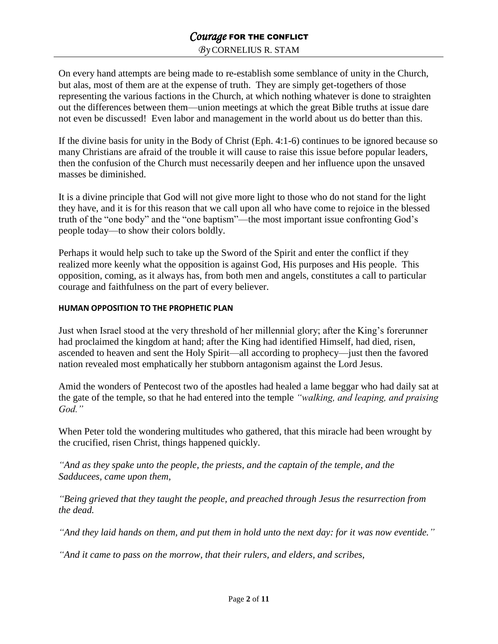On every hand attempts are being made to re-establish some semblance of unity in the Church, but alas, most of them are at the expense of truth. They are simply get-togethers of those representing the various factions in the Church, at which nothing whatever is done to straighten out the differences between them—union meetings at which the great Bible truths at issue dare not even be discussed! Even labor and management in the world about us do better than this.

If the divine basis for unity in the Body of Christ (Eph. 4:1-6) continues to be ignored because so many Christians are afraid of the trouble it will cause to raise this issue before popular leaders, then the confusion of the Church must necessarily deepen and her influence upon the unsaved masses be diminished.

It is a divine principle that God will not give more light to those who do not stand for the light they have, and it is for this reason that we call upon all who have come to rejoice in the blessed truth of the "one body" and the "one baptism"—the most important issue confronting God's people today—to show their colors boldly.

Perhaps it would help such to take up the Sword of the Spirit and enter the conflict if they realized more keenly what the opposition is against God, His purposes and His people. This opposition, coming, as it always has, from both men and angels, constitutes a call to particular courage and faithfulness on the part of every believer.

### **HUMAN OPPOSITION TO THE PROPHETIC PLAN**

Just when Israel stood at the very threshold of her millennial glory; after the King's forerunner had proclaimed the kingdom at hand; after the King had identified Himself, had died, risen, ascended to heaven and sent the Holy Spirit—all according to prophecy—just then the favored nation revealed most emphatically her stubborn antagonism against the Lord Jesus.

Amid the wonders of Pentecost two of the apostles had healed a lame beggar who had daily sat at the gate of the temple, so that he had entered into the temple *"walking, and leaping, and praising God."*

When Peter told the wondering multitudes who gathered, that this miracle had been wrought by the crucified, risen Christ, things happened quickly.

*"And as they spake unto the people, the priests, and the captain of the temple, and the Sadducees, came upon them,* 

*"Being grieved that they taught the people, and preached through Jesus the resurrection from the dead.*

*"And they laid hands on them, and put them in hold unto the next day: for it was now eventide."*

*"And it came to pass on the morrow, that their rulers, and elders, and scribes,*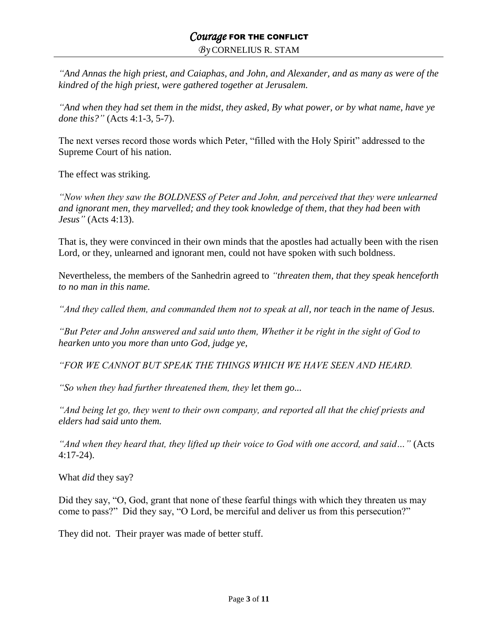*"And Annas the high priest, and Caiaphas, and John, and Alexander, and as many as were of the kindred of the high priest, were gathered together at Jerusalem.*

*"And when they had set them in the midst, they asked, By what power, or by what name, have ye done this?"* (Acts 4:1-3, 5-7).

The next verses record those words which Peter, "filled with the Holy Spirit" addressed to the Supreme Court of his nation.

The effect was striking.

*"Now when they saw the BOLDNESS of Peter and John, and perceived that they were unlearned and ignorant men, they marvelled; and they took knowledge of them, that they had been with Jesus"* (Acts 4:13).

That is, they were convinced in their own minds that the apostles had actually been with the risen Lord, or they, unlearned and ignorant men, could not have spoken with such boldness.

Nevertheless, the members of the Sanhedrin agreed to *"threaten them, that they speak henceforth to no man in this name.* 

*"And they called them, and commanded them not to speak at all, nor teach in the name of Jesus.*

*"But Peter and John answered and said unto them, Whether it be right in the sight of God to hearken unto you more than unto God, judge ye,*

*"FOR WE CANNOT BUT SPEAK THE THINGS WHICH WE HAVE SEEN AND HEARD.*

*"So when they had further threatened them, they let them go...*

*"And being let go, they went to their own company, and reported all that the chief priests and elders had said unto them.*

*"And when they heard that, they lifted up their voice to God with one accord, and said…"* (Acts 4:17-24).

What *did* they say?

Did they say, "O, God, grant that none of these fearful things with which they threaten us may come to pass?" Did they say, "O Lord, be merciful and deliver us from this persecution?"

They did not. Their prayer was made of better stuff.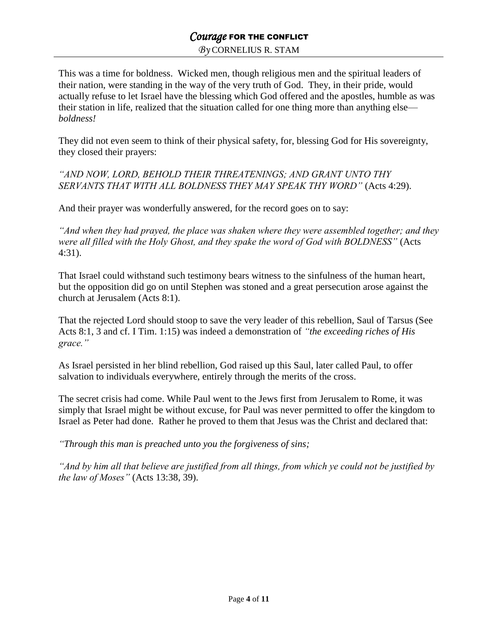This was a time for boldness. Wicked men, though religious men and the spiritual leaders of their nation, were standing in the way of the very truth of God. They, in their pride, would actually refuse to let Israel have the blessing which God offered and the apostles, humble as was their station in life, realized that the situation called for one thing more than anything else *boldness!*

They did not even seem to think of their physical safety, for, blessing God for His sovereignty, they closed their prayers:

*"AND NOW, LORD, BEHOLD THEIR THREATENINGS; AND GRANT UNTO THY SERVANTS THAT WITH ALL BOLDNESS THEY MAY SPEAK THY WORD"* (Acts 4:29).

And their prayer was wonderfully answered, for the record goes on to say:

*"And when they had prayed, the place was shaken where they were assembled together; and they were all filled with the Holy Ghost, and they spake the word of God with BOLDNESS"* (Acts 4:31).

That Israel could withstand such testimony bears witness to the sinfulness of the human heart, but the opposition did go on until Stephen was stoned and a great persecution arose against the church at Jerusalem (Acts 8:1).

That the rejected Lord should stoop to save the very leader of this rebellion, Saul of Tarsus (See Acts 8:1, 3 and cf. I Tim. 1:15) was indeed a demonstration of *"the exceeding riches of His grace."*

As Israel persisted in her blind rebellion, God raised up this Saul, later called Paul, to offer salvation to individuals everywhere, entirely through the merits of the cross.

The secret crisis had come. While Paul went to the Jews first from Jerusalem to Rome, it was simply that Israel might be without excuse, for Paul was never permitted to offer the kingdom to Israel as Peter had done. Rather he proved to them that Jesus was the Christ and declared that:

*"Through this man is preached unto you the forgiveness of sins;*

*"And by him all that believe are justified from all things, from which ye could not be justified by the law of Moses"* (Acts 13:38, 39).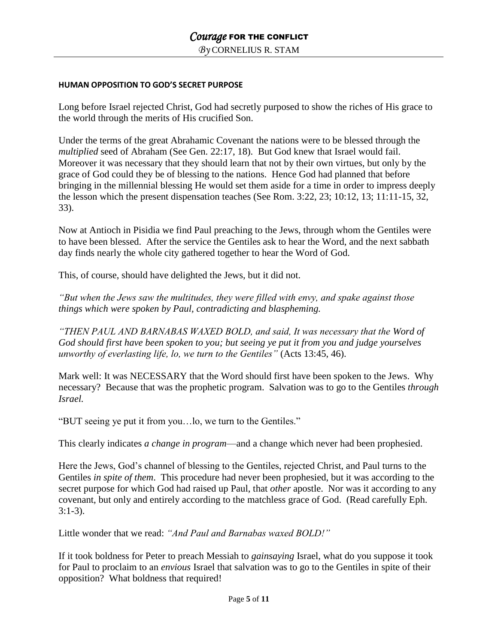### **HUMAN OPPOSITION TO GOD'S SECRET PURPOSE**

Long before Israel rejected Christ, God had secretly purposed to show the riches of His grace to the world through the merits of His crucified Son.

Under the terms of the great Abrahamic Covenant the nations were to be blessed through the *multiplied* seed of Abraham (See Gen. 22:17, 18). But God knew that Israel would fail. Moreover it was necessary that they should learn that not by their own virtues, but only by the grace of God could they be of blessing to the nations. Hence God had planned that before bringing in the millennial blessing He would set them aside for a time in order to impress deeply the lesson which the present dispensation teaches (See Rom. 3:22, 23; 10:12, 13; 11:11-15, 32, 33).

Now at Antioch in Pisidia we find Paul preaching to the Jews, through whom the Gentiles were to have been blessed. After the service the Gentiles ask to hear the Word, and the next sabbath day finds nearly the whole city gathered together to hear the Word of God.

This, of course, should have delighted the Jews, but it did not.

*"But when the Jews saw the multitudes, they were filled with envy, and spake against those things which were spoken by Paul, contradicting and blaspheming.*

*"THEN PAUL AND BARNABAS WAXED BOLD, and said, It was necessary that the Word of God should first have been spoken to you; but seeing ye put it from you and judge yourselves unworthy of everlasting life, lo, we turn to the Gentiles"* (Acts 13:45, 46).

Mark well: It was NECESSARY that the Word should first have been spoken to the Jews. Why necessary? Because that was the prophetic program. Salvation was to go to the Gentiles *through Israel.*

"BUT seeing ye put it from you…lo, we turn to the Gentiles."

This clearly indicates *a change in program*—and a change which never had been prophesied.

Here the Jews, God's channel of blessing to the Gentiles, rejected Christ, and Paul turns to the Gentiles *in spite of them*. This procedure had never been prophesied, but it was according to the secret purpose for which God had raised up Paul, that *other* apostle. Nor was it according to any covenant, but only and entirely according to the matchless grace of God. (Read carefully Eph. 3:1-3).

Little wonder that we read: *"And Paul and Barnabas waxed BOLD!"*

If it took boldness for Peter to preach Messiah to *gainsaying* Israel, what do you suppose it took for Paul to proclaim to an *envious* Israel that salvation was to go to the Gentiles in spite of their opposition? What boldness that required!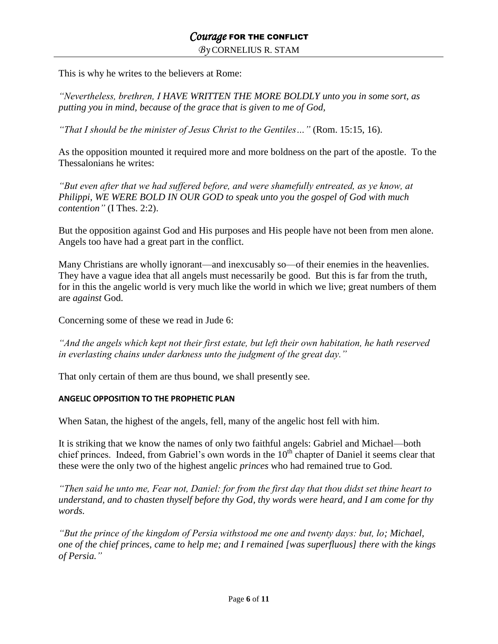This is why he writes to the believers at Rome:

*"Nevertheless, brethren, I HAVE WRITTEN THE MORE BOLDLY unto you in some sort, as putting you in mind, because of the grace that is given to me of God,*

*"That I should be the minister of Jesus Christ to the Gentiles…"* (Rom. 15:15, 16).

As the opposition mounted it required more and more boldness on the part of the apostle. To the Thessalonians he writes:

*"But even after that we had suffered before, and were shamefully entreated, as ye know, at Philippi, WE WERE BOLD IN OUR GOD to speak unto you the gospel of God with much contention"* (I Thes. 2:2).

But the opposition against God and His purposes and His people have not been from men alone. Angels too have had a great part in the conflict.

Many Christians are wholly ignorant—and inexcusably so—of their enemies in the heavenlies. They have a vague idea that all angels must necessarily be good. But this is far from the truth, for in this the angelic world is very much like the world in which we live; great numbers of them are *against* God.

Concerning some of these we read in Jude 6:

*"And the angels which kept not their first estate, but left their own habitation, he hath reserved in everlasting chains under darkness unto the judgment of the great day."*

That only certain of them are thus bound, we shall presently see.

### **ANGELIC OPPOSITION TO THE PROPHETIC PLAN**

When Satan, the highest of the angels, fell, many of the angelic host fell with him.

It is striking that we know the names of only two faithful angels: Gabriel and Michael—both chief princes. Indeed, from Gabriel's own words in the  $10<sup>th</sup>$  chapter of Daniel it seems clear that these were the only two of the highest angelic *princes* who had remained true to God.

*"Then said he unto me, Fear not, Daniel: for from the first day that thou didst set thine heart to understand, and to chasten thyself before thy God, thy words were heard, and I am come for thy words.*

*"But the prince of the kingdom of Persia withstood me one and twenty days: but, lo; Michael, one of the chief princes, came to help me; and I remained [was superfluous] there with the kings of Persia."*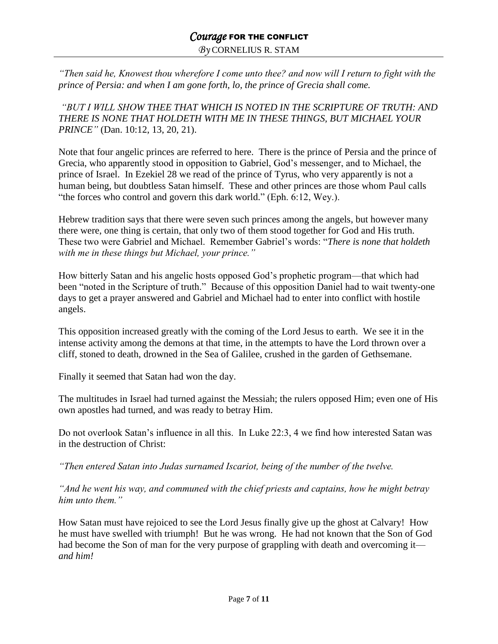*"Then said he, Knowest thou wherefore I come unto thee? and now will I return to fight with the prince of Persia: and when I am gone forth, lo, the prince of Grecia shall come.*

*"BUT I WILL SHOW THEE THAT WHICH IS NOTED IN THE SCRIPTURE OF TRUTH: AND THERE IS NONE THAT HOLDETH WITH ME IN THESE THINGS, BUT MICHAEL YOUR PRINCE"* (Dan. 10:12, 13, 20, 21).

Note that four angelic princes are referred to here. There is the prince of Persia and the prince of Grecia, who apparently stood in opposition to Gabriel, God's messenger, and to Michael, the prince of Israel. In Ezekiel 28 we read of the prince of Tyrus, who very apparently is not a human being, but doubtless Satan himself. These and other princes are those whom Paul calls "the forces who control and govern this dark world." (Eph. 6:12, Wey.).

Hebrew tradition says that there were seven such princes among the angels, but however many there were, one thing is certain, that only two of them stood together for God and His truth. These two were Gabriel and Michael. Remember Gabriel's words: "*There is none that holdeth with me in these things but Michael, your prince."*

How bitterly Satan and his angelic hosts opposed God's prophetic program—that which had been "noted in the Scripture of truth." Because of this opposition Daniel had to wait twenty-one days to get a prayer answered and Gabriel and Michael had to enter into conflict with hostile angels.

This opposition increased greatly with the coming of the Lord Jesus to earth. We see it in the intense activity among the demons at that time, in the attempts to have the Lord thrown over a cliff, stoned to death, drowned in the Sea of Galilee, crushed in the garden of Gethsemane.

Finally it seemed that Satan had won the day.

The multitudes in Israel had turned against the Messiah; the rulers opposed Him; even one of His own apostles had turned, and was ready to betray Him.

Do not overlook Satan's influence in all this. In Luke 22:3, 4 we find how interested Satan was in the destruction of Christ:

*"Then entered Satan into Judas surnamed Iscariot, being of the number of the twelve.*

*"And he went his way, and communed with the chief priests and captains, how he might betray him unto them."*

How Satan must have rejoiced to see the Lord Jesus finally give up the ghost at Calvary! How he must have swelled with triumph! But he was wrong. He had not known that the Son of God had become the Son of man for the very purpose of grappling with death and overcoming it *and him!*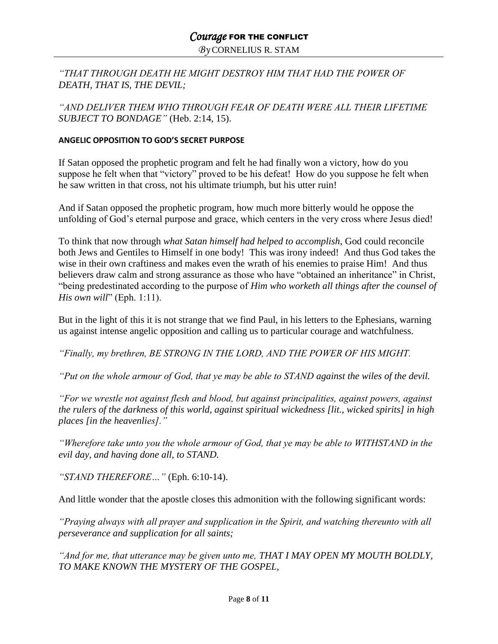## *"THAT THROUGH DEATH HE MIGHT DESTROY HIM THAT HAD THE POWER OF DEATH, THAT IS, THE DEVIL;*

*"AND DELIVER THEM WHO THROUGH FEAR OF DEATH WERE ALL THEIR LIFETIME SUBJECT TO BONDAGE"* (Heb. 2:14, 15).

### **ANGELIC OPPOSITION TO GOD'S SECRET PURPOSE**

If Satan opposed the prophetic program and felt he had finally won a victory, how do you suppose he felt when that "victory" proved to be his defeat! How do you suppose he felt when he saw written in that cross, not his ultimate triumph, but his utter ruin!

And if Satan opposed the prophetic program, how much more bitterly would he oppose the unfolding of God's eternal purpose and grace, which centers in the very cross where Jesus died!

To think that now through *what Satan himself had helped to accomplish*, God could reconcile both Jews and Gentiles to Himself in one body! This was irony indeed! And thus God takes the wise in their own craftiness and makes even the wrath of his enemies to praise Him! And thus believers draw calm and strong assurance as those who have "obtained an inheritance" in Christ, "being predestinated according to the purpose of *Him who worketh all things after the counsel of His own will*" (Eph. 1:11).

But in the light of this it is not strange that we find Paul, in his letters to the Ephesians, warning us against intense angelic opposition and calling us to particular courage and watchfulness.

*"Finally, my brethren, BE STRONG IN THE LORD, AND THE POWER OF HIS MIGHT.* 

*"Put on the whole armour of God, that ye may be able to STAND against the wiles of the devil.*

*"For we wrestle not against flesh and blood, but against principalities, against powers, against the rulers of the darkness of this world, against spiritual wickedness [lit., wicked spirits] in high places [in the heavenlies]."* 

*"Wherefore take unto you the whole armour of God, that ye may be able to WITHSTAND in the evil day, and having done all, to STAND.* 

*"STAND THEREFORE…"* (Eph. 6:10-14).

And little wonder that the apostle closes this admonition with the following significant words:

*"Praying always with all prayer and supplication in the Spirit, and watching thereunto with all perseverance and supplication for all saints;*

*"And for me, that utterance may be given unto me, THAT I MAY OPEN MY MOUTH BOLDLY, TO MAKE KNOWN THE MYSTERY OF THE GOSPEL,*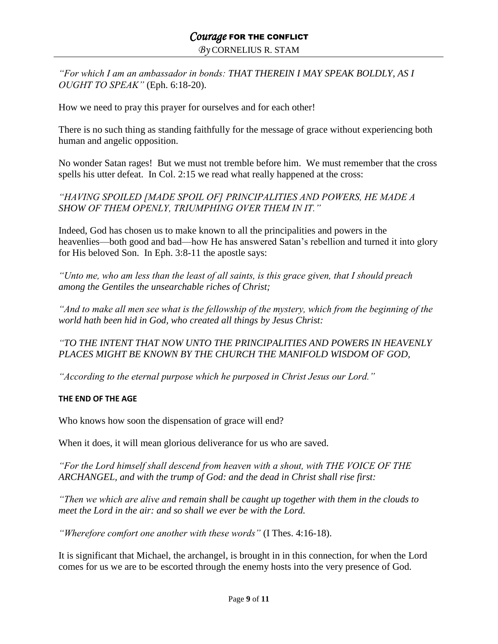*"For which I am an ambassador in bonds: THAT THEREIN I MAY SPEAK BOLDLY, AS I OUGHT TO SPEAK"* (Eph. 6:18-20).

How we need to pray this prayer for ourselves and for each other!

There is no such thing as standing faithfully for the message of grace without experiencing both human and angelic opposition.

No wonder Satan rages! But we must not tremble before him. We must remember that the cross spells his utter defeat. In Col. 2:15 we read what really happened at the cross:

*"HAVING SPOILED [MADE SPOIL OF] PRINCIPALITIES AND POWERS, HE MADE A SHOW OF THEM OPENLY, TRIUMPHING OVER THEM IN IT."*

Indeed, God has chosen us to make known to all the principalities and powers in the heavenlies—both good and bad—how He has answered Satan's rebellion and turned it into glory for His beloved Son. In Eph. 3:8-11 the apostle says:

*"Unto me, who am less than the least of all saints, is this grace given, that I should preach among the Gentiles the unsearchable riches of Christ;*

*"And to make all men see what is the fellowship of the mystery, which from the beginning of the world hath been hid in God, who created all things by Jesus Christ:*

*"TO THE INTENT THAT NOW UNTO THE PRINCIPALITIES AND POWERS IN HEAVENLY PLACES MIGHT BE KNOWN BY THE CHURCH THE MANIFOLD WISDOM OF GOD,*

*"According to the eternal purpose which he purposed in Christ Jesus our Lord."*

### **THE END OF THE AGE**

Who knows how soon the dispensation of grace will end?

When it does, it will mean glorious deliverance for us who are saved.

*"For the Lord himself shall descend from heaven with a shout, with THE VOICE OF THE ARCHANGEL, and with the trump of God: and the dead in Christ shall rise first:*

*"Then we which are alive and remain shall be caught up together with them in the clouds to meet the Lord in the air: and so shall we ever be with the Lord.*

*"Wherefore comfort one another with these words"* (I Thes. 4:16-18).

It is significant that Michael, the archangel, is brought in in this connection, for when the Lord comes for us we are to be escorted through the enemy hosts into the very presence of God.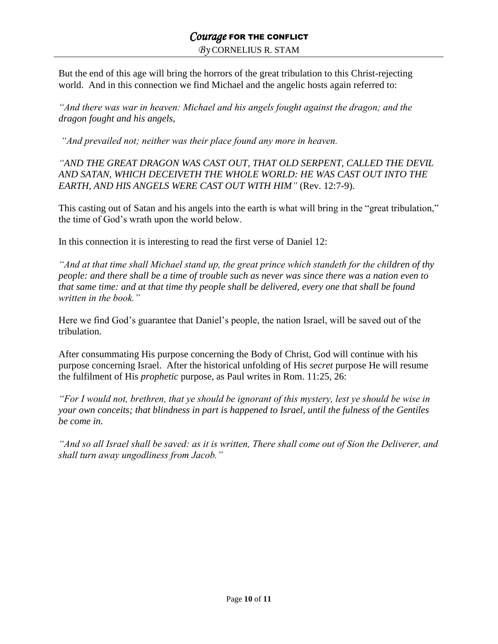But the end of this age will bring the horrors of the great tribulation to this Christ-rejecting world. And in this connection we find Michael and the angelic hosts again referred to:

*"And there was war in heaven: Michael and his angels fought against the dragon; and the dragon fought and his angels,*

*"And prevailed not; neither was their place found any more in heaven.*

*"AND THE GREAT DRAGON WAS CAST OUT, THAT OLD SERPENT, CALLED THE DEVIL AND SATAN, WHICH DECEIVETH THE WHOLE WORLD: HE WAS CAST OUT INTO THE EARTH, AND HIS ANGELS WERE CAST OUT WITH HIM"* (Rev. 12:7-9).

This casting out of Satan and his angels into the earth is what will bring in the "great tribulation," the time of God's wrath upon the world below.

In this connection it is interesting to read the first verse of Daniel 12:

*"And at that time shall Michael stand up, the great prince which standeth for the children of thy people: and there shall be a time of trouble such as never was since there was a nation even to that same time: and at that time thy people shall be delivered, every one that shall be found written in the book."*

Here we find God's guarantee that Daniel's people, the nation Israel, will be saved out of the tribulation.

After consummating His purpose concerning the Body of Christ, God will continue with his purpose concerning Israel. After the historical unfolding of His *secret* purpose He will resume the fulfilment of His *prophetic* purpose, as Paul writes in Rom. 11:25, 26:

*"For I would not, brethren, that ye should be ignorant of this mystery, lest ye should be wise in your own conceits; that blindness in part is happened to Israel, until the fulness of the Gentiles be come in.* 

*"And so all Israel shall be saved: as it is written, There shall come out of Sion the Deliverer, and shall turn away ungodliness from Jacob."*